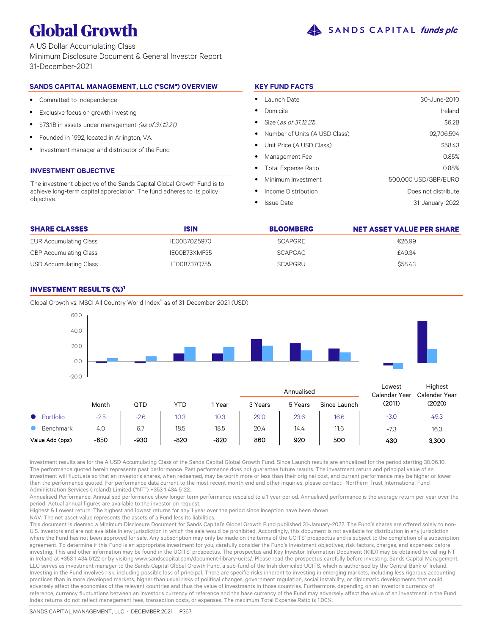

A US Dollar Accumulating Class Minimum Disclosure Document & General Investor Report 31-December-2021

# **SANDS CAPITAL MANAGEMENT, LLC ("SCM") OVERVIEW**

- $\bullet$ Committed to independence
- $\bullet$ Exclusive focus on growth investing
- $\bullet$ \$73.1B in assets under management (as of 31.12.21)
- $\bullet$ Founded in 1992, located in Arlington, VA.
- $\bullet$ Investment manager and distributor of the Fund

# **INVESTMENT OBJECTIVE**

The investment objective of the Sands Capital Global Growth Fund is to achieve long-term capital appreciation. The fund adheres to its policy objective.

# **KEY FUND FACTS**

| Launch Date                     | 30-June-2010         |
|---------------------------------|----------------------|
| Domicile                        | Ireland              |
| Size (as of 31.12.21)           | \$6.2B               |
| • Number of Units (A USD Class) | 92.706.594           |
| • Unit Price (A USD Class)      | \$58.43              |
| Management Fee                  | 0.85%                |
| • Total Expense Ratio           | 0.88%                |
| Minimum Investment<br>$\bullet$ | 500,000 USD/GBP/EURO |
| Income Distribution             | Does not distribute  |
| <b>Issue Date</b>               | 31-January-2022      |

| <b>SHARE CLASSES</b>          | <b>ISIN</b>  | <b>BLOOMBERG</b> | <b>NET ASSET VALUE PER SHARE</b> |
|-------------------------------|--------------|------------------|----------------------------------|
| EUR Accumulating Class        | IE00B70Z5970 | <b>SCAPGRE</b>   | €26.99                           |
| <b>GBP Accumulating Class</b> | IE00B73XMF35 | <b>SCAPGAG</b>   | £49.34                           |
| USD Accumulating Class        | IE00B737Q755 | SCAPGRU          | \$58.43                          |

# **INVESTMENT RESULTS (%)<sup>1</sup>**



Investment results are for the A USD Accumulating Class of the Sands Capital Global Growth Fund. Since Launch results are annualized for the period starting 30.06.10. The performance quoted herein represents past performance. Past performance does not guarantee future results. The investment return and principal value of an investment will fluctuate so that an investor's shares, when redeemed, may be worth more or less than their original cost, and current performance may be higher or lower than the performance quoted. For performance data current to the most recent month end and other inquiries, please contact: Northern Trust International Fund Administration Services (Ireland) Limited ("NT") +353 1 434 5122.

Annualised Performance: Annualised performance show longer term performance rescaled to a 1 year period. Annualised performance is the average return per year over the period. Actual annual figures are available to the investor on request.

Highest & Lowest return: The highest and lowest returns for any 1 year over the period since inception have been shown.

NAV: The net asset value represents the assets of a Fund less its liabilities.

This document is deemed a Minimum Disclosure Document for Sands Capital's Global Growth Fund published 31-January-2022. The Fund's shares are offered solely to non-U.S. investors and are not available in any jurisdiction in which the sale would be prohibited. Accordingly, this document is not available for distribution in any jurisdiction where the Fund has not been approved for sale. Any subscription may only be made on the terms of the UCITS' prospectus and is subject to the completion of a subscription agreement. To determine if this Fund is an appropriate investment for you, carefully consider the Fund's investment objectives, risk factors, charges, and expenses before investing. This and other information may be found in the UCITS' prospectus. The prospectus and Key Investor Information Document (KIID) may be obtained by calling NT in Ireland at +353 1 434 5122 or by visiting www.sandscapital.com/document-library-ucits/. Please read the prospectus carefully before investing. Sands Capital Management, LLC serves as investment manager to the Sands Capital Global Growth Fund, a sub-fund of the Irish domiciled UCITS, which is authorised by the Central Bank of Ireland. Investing in the Fund involves risk, including possible loss of principal. There are specific risks inherent to investing in emerging markets, including less rigorous accounting practices than in more developed markets, higher than usual risks of political changes, government regulation, social instability, or diplomatic developments that could adversely affect the economies of the relevant countries and thus the value of investments in those countries. Furthermore, depending on an investor's currency of reference, currency fluctuations between an investor's currency of reference and the base currency of the Fund may adversely affect the value of an investment in the Fund. Index returns do not reflect management fees, transaction costs, or expenses. The maximum Total Expense Ratio is 1.00%.